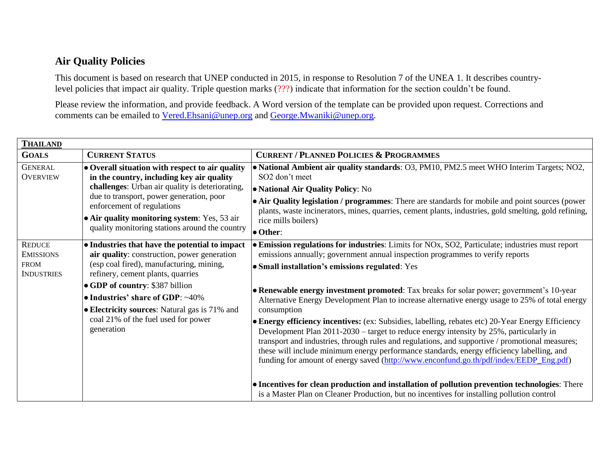## **Air Quality Policies**

This document is based on research that UNEP conducted in 2015, in response to Resolution 7 of the UNEA 1. It describes countrylevel policies that impact air quality. Triple question marks (???) indicate that information for the section couldn't be found.

Please review the information, and provide feedback. A Word version of the template can be provided upon request. Corrections and comments can be emailed to [Vered.Ehsani@unep.org](mailto:Vered.Ehsani@unep.org) and [George.Mwaniki@unep.org.](mailto:George.Mwaniki@unep.org)

| <b>THAILAND</b>                                                       |                                                                                                                                                                                                                                                                                                                                                                     |                                                                                                                                                                                                                                                                                                                                                                                                                                                                                                                                                                                                                                                                                                                                                                                                                                                                                                                                                                                                                                                                                                                                            |  |  |
|-----------------------------------------------------------------------|---------------------------------------------------------------------------------------------------------------------------------------------------------------------------------------------------------------------------------------------------------------------------------------------------------------------------------------------------------------------|--------------------------------------------------------------------------------------------------------------------------------------------------------------------------------------------------------------------------------------------------------------------------------------------------------------------------------------------------------------------------------------------------------------------------------------------------------------------------------------------------------------------------------------------------------------------------------------------------------------------------------------------------------------------------------------------------------------------------------------------------------------------------------------------------------------------------------------------------------------------------------------------------------------------------------------------------------------------------------------------------------------------------------------------------------------------------------------------------------------------------------------------|--|--|
| <b>GOALS</b>                                                          | <b>CURRENT STATUS</b>                                                                                                                                                                                                                                                                                                                                               | <b>CURRENT / PLANNED POLICIES &amp; PROGRAMMES</b>                                                                                                                                                                                                                                                                                                                                                                                                                                                                                                                                                                                                                                                                                                                                                                                                                                                                                                                                                                                                                                                                                         |  |  |
| <b>GENERAL</b><br><b>OVERVIEW</b>                                     | • Overall situation with respect to air quality<br>in the country, including key air quality<br>challenges: Urban air quality is deteriorating,<br>due to transport, power generation, poor<br>enforcement of regulations<br>$\bullet$ Air quality monitoring system: Yes, 53 air<br>quality monitoring stations around the country                                 | • National Ambient air quality standards: O3, PM10, PM2.5 meet WHO Interim Targets; NO2,<br>SO <sub>2</sub> don't meet<br>• National Air Quality Policy: No<br>• Air Quality legislation / programmes: There are standards for mobile and point sources (power<br>plants, waste incinerators, mines, quarries, cement plants, industries, gold smelting, gold refining,<br>rice mills boilers)<br>• Other:                                                                                                                                                                                                                                                                                                                                                                                                                                                                                                                                                                                                                                                                                                                                 |  |  |
| <b>REDUCE</b><br><b>EMISSIONS</b><br><b>FROM</b><br><b>INDUSTRIES</b> | • Industries that have the potential to impact<br>air quality: construction, power generation<br>(esp coal fired), manufacturing, mining,<br>refinery, cement plants, quarries<br>• GDP of country: \$387 billion<br>$\bullet$ Industries' share of GDP: ~40%<br>• Electricity sources: Natural gas is 71% and<br>coal 21% of the fuel used for power<br>generation | • Emission regulations for industries: Limits for NOx, SO2, Particulate; industries must report<br>emissions annually; government annual inspection programmes to verify reports<br>• Small installation's emissions regulated: Yes<br>• Renewable energy investment promoted: Tax breaks for solar power; government's 10-year<br>Alternative Energy Development Plan to increase alternative energy usage to 25% of total energy<br>consumption<br>• Energy efficiency incentives: (ex: Subsidies, labelling, rebates etc) 20-Year Energy Efficiency<br>Development Plan 2011-2030 – target to reduce energy intensity by 25%, particularly in<br>transport and industries, through rules and regulations, and supportive / promotional measures;<br>these will include minimum energy performance standards, energy efficiency labelling, and<br>funding for amount of energy saved (http://www.enconfund.go.th/pdf/index/EEDP_Eng.pdf)<br>• Incentives for clean production and installation of pollution prevention technologies: There<br>is a Master Plan on Cleaner Production, but no incentives for installing pollution control |  |  |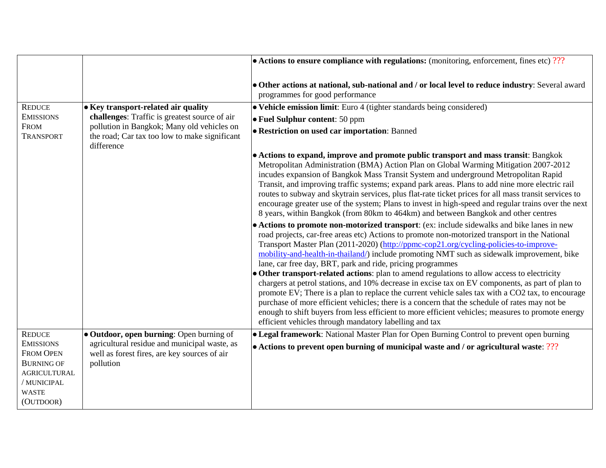|                                                                                                                                               |                                                                                                                                                            | $\bullet$ Actions to ensure compliance with regulations: (monitoring, enforcement, fines etc) ???                                                                                                                                                                                                                                                                                                                                                                                                                                                                                                                                                                                                                                                                                                                                                                                                                                                                                                                        |
|-----------------------------------------------------------------------------------------------------------------------------------------------|------------------------------------------------------------------------------------------------------------------------------------------------------------|--------------------------------------------------------------------------------------------------------------------------------------------------------------------------------------------------------------------------------------------------------------------------------------------------------------------------------------------------------------------------------------------------------------------------------------------------------------------------------------------------------------------------------------------------------------------------------------------------------------------------------------------------------------------------------------------------------------------------------------------------------------------------------------------------------------------------------------------------------------------------------------------------------------------------------------------------------------------------------------------------------------------------|
|                                                                                                                                               |                                                                                                                                                            | • Other actions at national, sub-national and / or local level to reduce industry: Several award<br>programmes for good performance                                                                                                                                                                                                                                                                                                                                                                                                                                                                                                                                                                                                                                                                                                                                                                                                                                                                                      |
| <b>REDUCE</b>                                                                                                                                 | • Key transport-related air quality                                                                                                                        | • Vehicle emission limit: Euro 4 (tighter standards being considered)                                                                                                                                                                                                                                                                                                                                                                                                                                                                                                                                                                                                                                                                                                                                                                                                                                                                                                                                                    |
| <b>EMISSIONS</b><br><b>FROM</b><br><b>TRANSPORT</b>                                                                                           | challenges: Traffic is greatest source of air<br>pollution in Bangkok; Many old vehicles on<br>the road; Car tax too low to make significant<br>difference | • Fuel Sulphur content: 50 ppm                                                                                                                                                                                                                                                                                                                                                                                                                                                                                                                                                                                                                                                                                                                                                                                                                                                                                                                                                                                           |
|                                                                                                                                               |                                                                                                                                                            | • Restriction on used car importation: Banned                                                                                                                                                                                                                                                                                                                                                                                                                                                                                                                                                                                                                                                                                                                                                                                                                                                                                                                                                                            |
|                                                                                                                                               |                                                                                                                                                            | • Actions to expand, improve and promote public transport and mass transit: Bangkok<br>Metropolitan Administration (BMA) Action Plan on Global Warming Mitigation 2007-2012<br>incudes expansion of Bangkok Mass Transit System and underground Metropolitan Rapid<br>Transit, and improving traffic systems; expand park areas. Plans to add nine more electric rail<br>routes to subway and skytrain services, plus flat-rate ticket prices for all mass transit services to<br>encourage greater use of the system; Plans to invest in high-speed and regular trains over the next<br>8 years, within Bangkok (from 80km to 464km) and between Bangkok and other centres                                                                                                                                                                                                                                                                                                                                              |
|                                                                                                                                               |                                                                                                                                                            | • Actions to promote non-motorized transport: (ex: include sidewalks and bike lanes in new<br>road projects, car-free areas etc) Actions to promote non-motorized transport in the National<br>Transport Master Plan (2011-2020) (http://ppmc-cop21.org/cycling-policies-to-improve-<br>mobility-and-health-in-thailand/) include promoting NMT such as sidewalk improvement, bike<br>lane, car free day, BRT, park and ride, pricing programmes<br>· Other transport-related actions: plan to amend regulations to allow access to electricity<br>chargers at petrol stations, and 10% decrease in excise tax on EV components, as part of plan to<br>promote EV; There is a plan to replace the current vehicle sales tax with a CO2 tax, to encourage<br>purchase of more efficient vehicles; there is a concern that the schedule of rates may not be<br>enough to shift buyers from less efficient to more efficient vehicles; measures to promote energy<br>efficient vehicles through mandatory labelling and tax |
| <b>REDUCE</b><br><b>EMISSIONS</b><br><b>FROM OPEN</b><br><b>BURNING OF</b><br><b>AGRICULTURAL</b><br>/ MUNICIPAL<br><b>WASTE</b><br>(OUTDOOR) | • Outdoor, open burning: Open burning of<br>agricultural residue and municipal waste, as<br>well as forest fires, are key sources of air<br>pollution      | • Legal framework: National Master Plan for Open Burning Control to prevent open burning<br>• Actions to prevent open burning of municipal waste and / or agricultural waste: ???                                                                                                                                                                                                                                                                                                                                                                                                                                                                                                                                                                                                                                                                                                                                                                                                                                        |